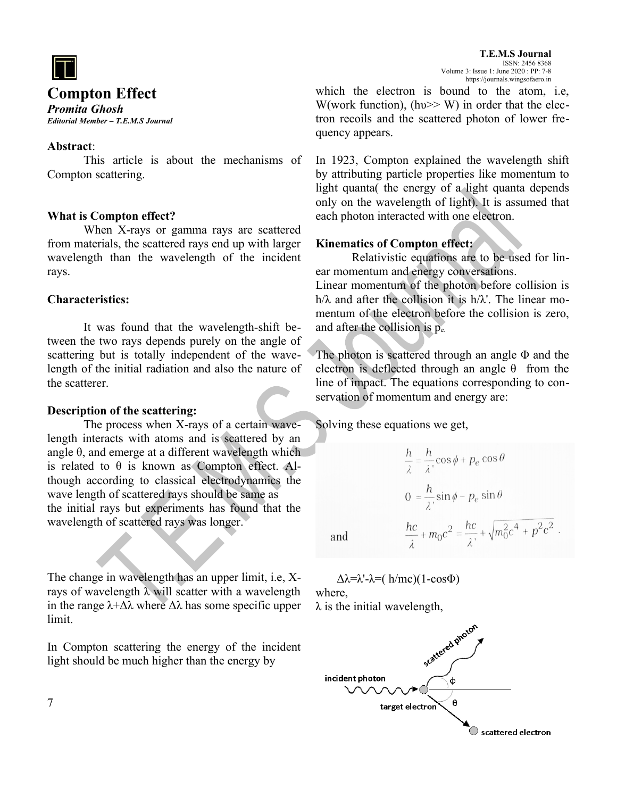

# **Compton Effect**

*Promita Ghosh Editorial Member – T.E.M.S Journal*

#### **Abstract**:

This article is about the mechanisms of Compton scattering.

## **What is Compton effect?**

When X-rays or gamma rays are scattered from materials, the scattered rays end up with larger wavelength than the wavelength of the incident rays.

## **Characteristics:**

It was found that the wavelength-shift between the two rays depends purely on the angle of scattering but is totally independent of the wavelength of the initial radiation and also the nature of the scatterer.

#### **Description of the scattering:**

The process when X-rays of a certain wavelength interacts with atoms and is scattered by an angle  $\theta$ , and emerge at a different wavelength which is related to  $\theta$  is known as Compton effect. Although according to classical electrodynamics the wave length of scattered rays should be same as the initial rays but experiments has found that the wavelength of scattered rays was longer.

The change in wavelength has an upper limit, i.e, Xrays of wavelength λ will scatter with a wavelength in the range  $\lambda + \Delta \lambda$  where  $\Delta \lambda$  has some specific upper limit.

In Compton scattering the energy of the incident light should be much higher than the energy by

which the electron is bound to the atom, i.e, W(work function), (hv $\gg$  W) in order that the electron recoils and the scattered photon of lower frequency appears.

In 1923, Compton explained the wavelength shift by attributing particle properties like momentum to light quanta( the energy of a light quanta depends only on the wavelength of light). It is assumed that each photon interacted with one electron.

### **Kinematics of Compton effect:**

Relativistic equations are to be used for linear momentum and energy conversations.

Linear momentum of the photon before collision is  $h/\lambda$  and after the collision it is  $h/\lambda'$ . The linear momentum of the electron before the collision is zero, and after the collision is pe.

The photon is scattered through an angle  $\Phi$  and the electron is deflected through an angle  $\theta$  from the line of impact. The equations corresponding to conservation of momentum and energy are:

Solving these equations we get,

$$
\frac{h}{\lambda} = \frac{h}{\lambda} \cos \phi + p_e \cos \theta
$$

$$
0 = \frac{h}{\lambda} \sin \phi - p_e \sin \theta
$$

$$
\frac{hc}{\lambda} + m_0 c^2 = \frac{hc}{\lambda'} + \sqrt{m_0^2 c^4 + p^2 c^2}.
$$

and

 $Δλ=\lambda'$ -λ=( h/mc)(1-cosΦ) where,

 $\lambda$  is the initial wavelength,



7